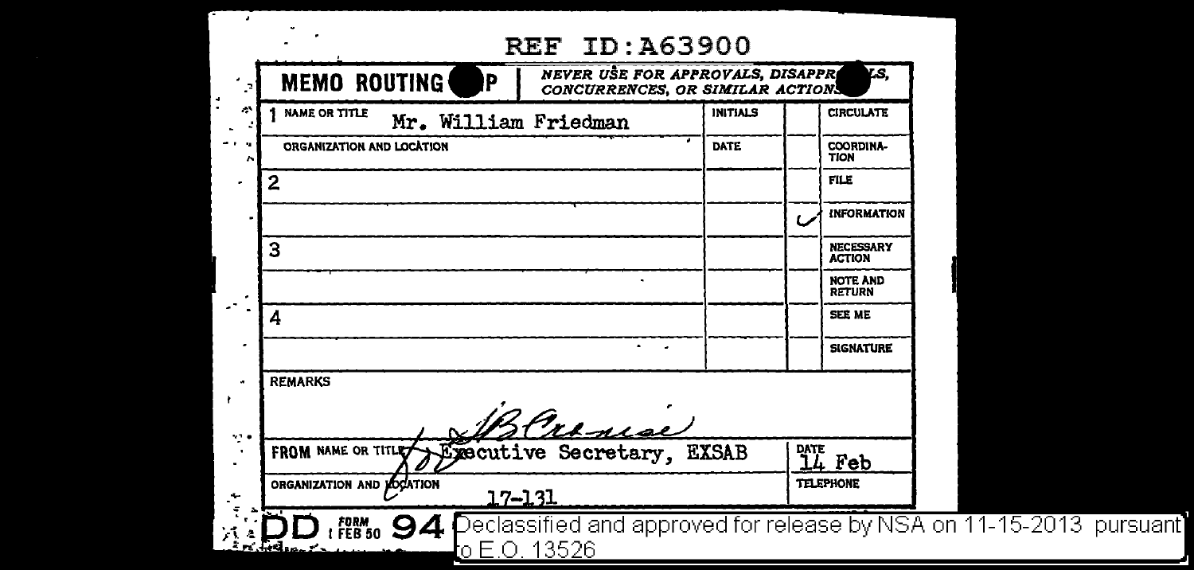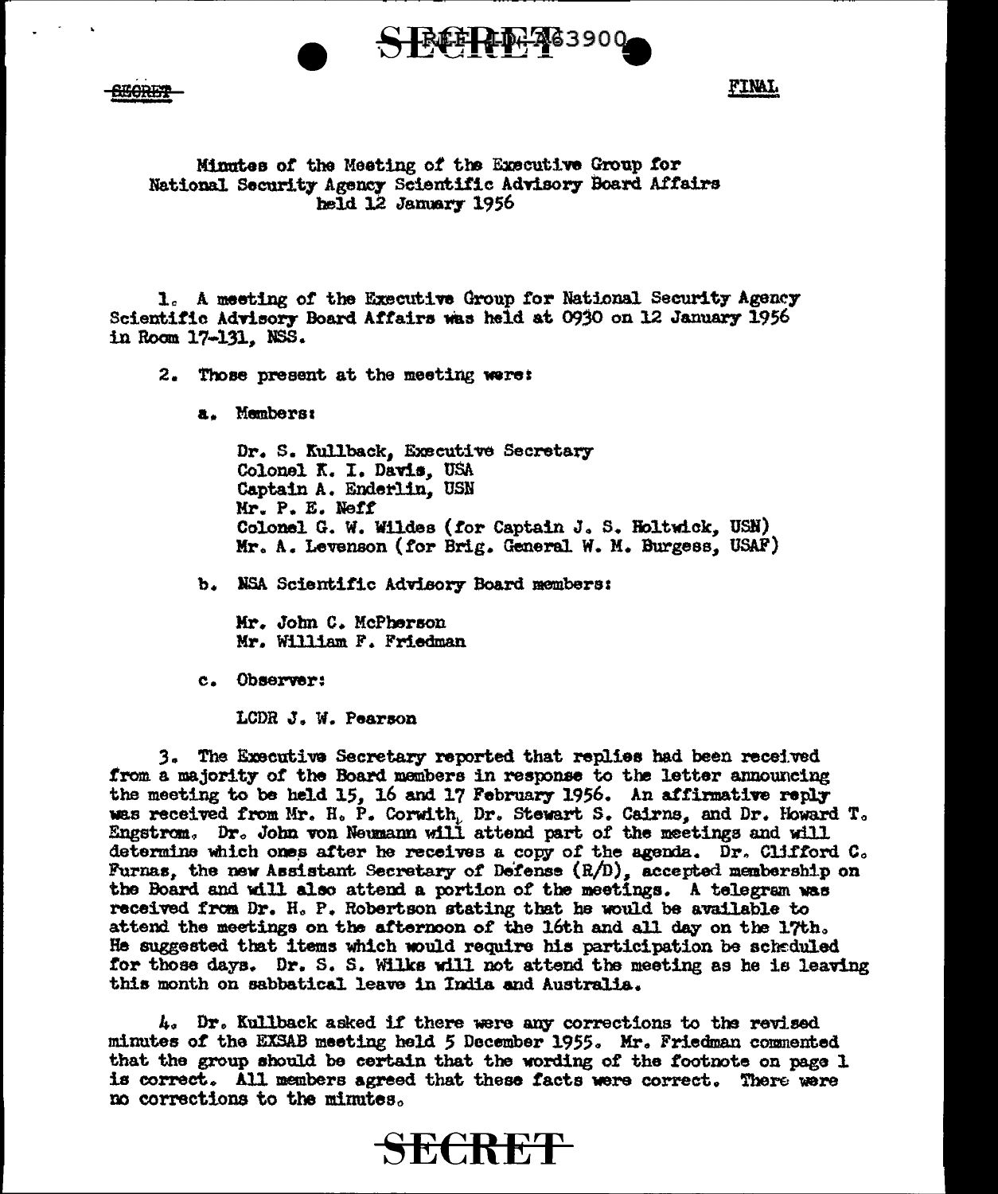

**KORFY** 

**FINAL** 

Minutes of the Meeting of the Executive Group for National Security Agency Scientific Advisory Board Affairs held 12 January 1956

1. A meeting of the Executive Group for National Security Agency Scientific Advisory Board Affairs was held at 0930 on 12 January 1956 in Room 17-131. NSS.

2. Those present at the meeting were:

a. Members:

Dr. S. Kullback, Executive Secretary Colonel K. I. Davis, USA Captain A. Enderlin. USN Mr. P. E. Neff Colonel G. W. Wildes (for Captain J. S. Holtwick, USN) Mr. A. Levenson (for Brig. General W. M. Burgess, USAF)

b. NSA Scientific Advisory Board members:

Mr. John C. McPherson Mr. William F. Friedman

c. Observer:

LCDR J. W. Pearson

3. The Executive Secretary reported that replies had been received from a majority of the Board members in response to the letter announcing the meeting to be held 15, 16 and 17 February 1956. An affirmative reply was received from Mr. H. P. Corwith, Dr. Stewart S. Cairns, and Dr. Howard T. Engstrom. Dr. John von Neumann will attend part of the meetings and will determine which ones after he receives a copy of the agenda. Dr. Clifford C. Furnas, the new Assistant Secretary of Defense  $(R/D)$ , accepted membership on the Board and will also attend a portion of the meetings. A telegram was received from Dr. H. P. Robertson stating that he would be available to attend the meetings on the afternoon of the 16th and all day on the 17th. He suggested that items which would require his participation be scheduled for those days. Dr. S. S. Wilks will not attend the meeting as he is leaving this month on sabbatical leave in India and Australia.

 $h_s$  Dr. Kullback asked if there were any corrections to the revised minutes of the EXSAB meeting held 5 December 1955. Mr. Friedman commented that the group should be certain that the wording of the footnote on page 1 is correct. All members agreed that these facts were correct. There were no corrections to the minutes.

SECRET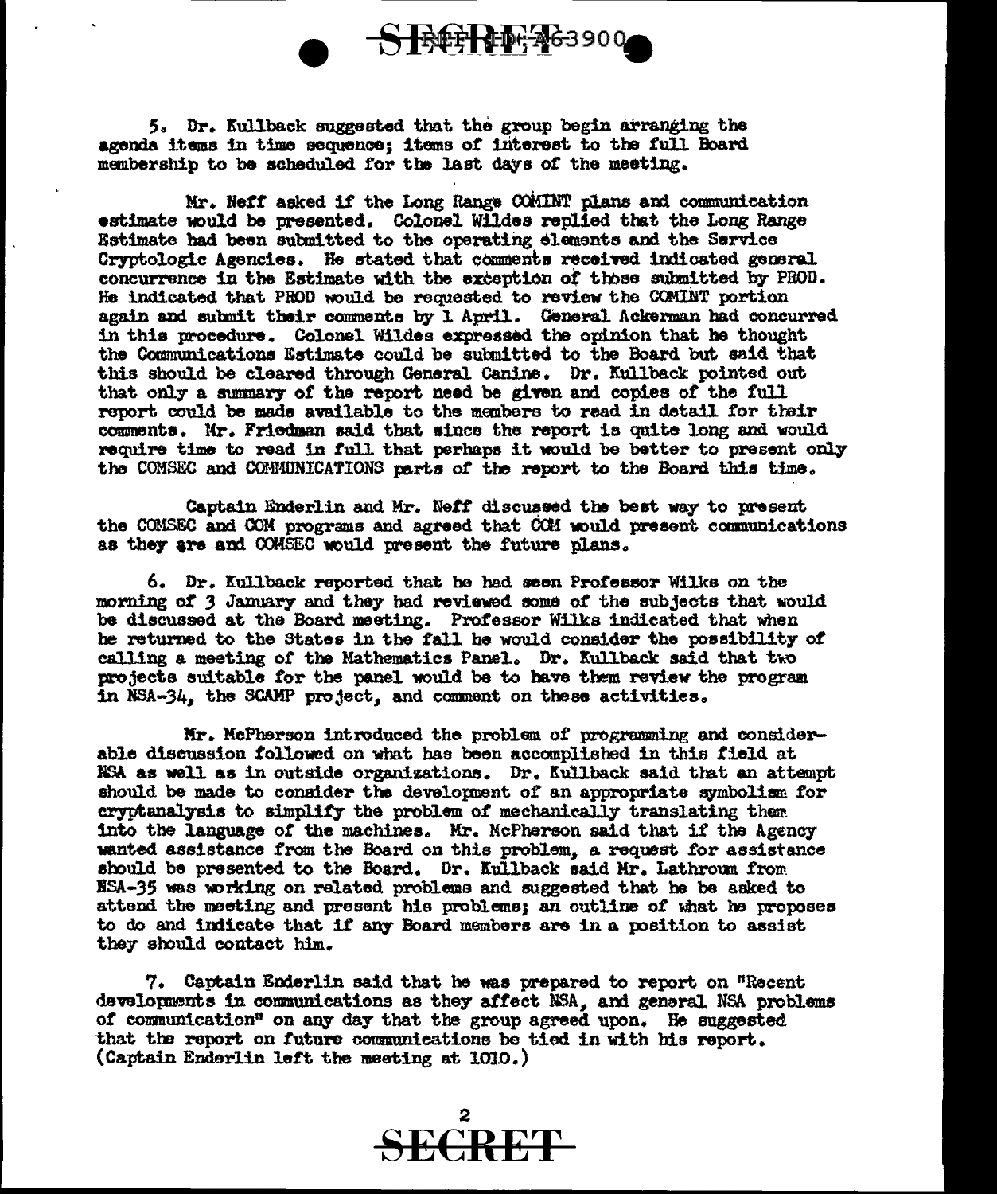

5. Dr. Kullback suggested that the group begin arranging the agenda items in time sequence; items of interest to the full Board membership to be scheduled for the last days of the meeting.

Mr. Neff asked if the Long Range COMINT plans and communication estimate would be presented. Colonel Wildes replied that the Long Range Estimate had been submitted to the operating elements and the Service Cryptologic Agencies. He stated that comments receiwd. indicated general concurrence in the Estimate with the exception of those submitted by PROD. He indicated that PROD would be requested to review the CCMINT portion again and submit their comments by 1 April. General Ackerman had concurred in thia procedure. Colonel Wildes expressed the opinion that be thought the Communications Estimate could be subnitted to the Board but said that this should be cleared through General Canine. Dr. Kullback pointed out that only a summary of the report need be given and copies of the full report could be made available to the members to read in detail for their comments. Mr. Friedman said that since the report is quite long and would require time to read in full that perhaps it would be better to present only the COMSEC and COMMUNICATIONS parts of the report to the Board this time.

Captain Enderlin and Mr. Neff discussed the best way to present the COMSEC and COM programs and agreed that CCM would present communications as they are and COMSEC would present the future plans.

6. Dr. Kullback reported that he bad seen Professor Wilks on the morning of 3 January and they had reviewed some of the subjects that would be discussed at the Board meeting. Professor Wilks indicated that when he returned to the States in the fall he would consider the possibility of calling a meeting of the Mathematics Panel. Dr. Kullback said that two projects suitable tor the panel wou1d be to have them review the program in  $NSA-34$ , the SCAMP project, and comment on these activities.

Kr. McPherson introduced the problem *ot* programming and considerable discussion tollowed on what bas been accomplished in this field at NSA as well as in outside organizations. Dr. Kullback said that an attempt should be made to consider the development of an appropriate symbolism for cryptanalysis to simplify the problem of mechanically translating them into the language of the machines. Mr. McPherson said that if the Agency wanted assistance from the Board on this problem, a request for assistance should be presented to the Board. Dr. Kullback said Hr. Lathroun from HSA-35 was working on related problems and suggested that he be asked to attend the meeting and present his problems; an outline of what he proposes to do and indicate that if any Board members are in a position to assist they should contact him.

7. Captain Enderlin said that he was prepared to report on "Recent" developments in communications as they affect NSA, and general NSA problems of communication" on any day that the group agreed upon. He suggested that the report on future communications be tied in with his report. (Captain Enderlin left the meeting at 1010.)

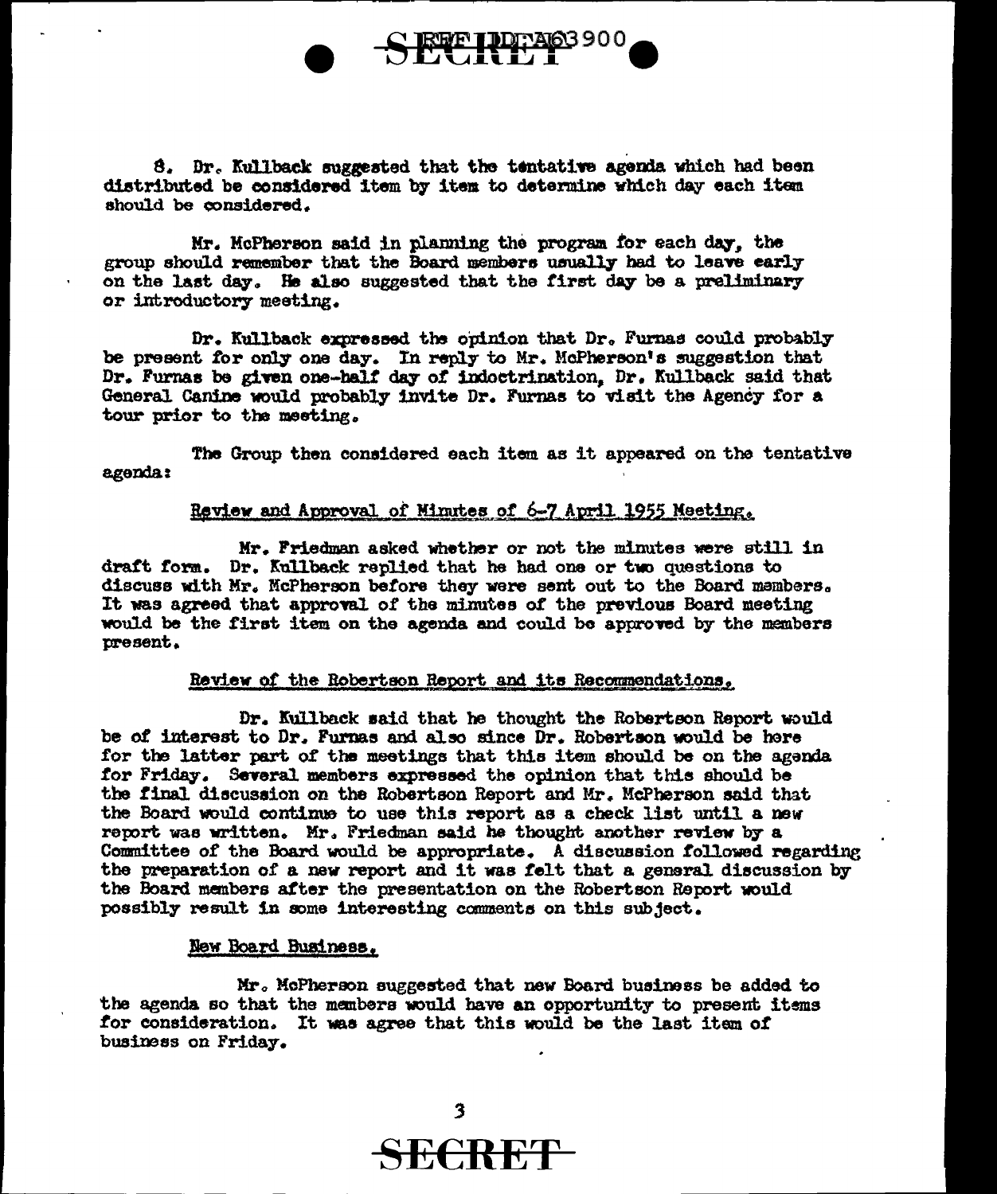



Mr. McPherson said in planning the program for each day, the group should remember that the Board members usually had to leave early on the last day. He also suggested that the first day be a preliminary or introductory meeting.

Dr. Kullback expressed the opinion that Dr. Furnas could probably be present for only one day. In reply to Mr. McPherson's suggestion that Dr. Furnas be given one-half day of indoetrination. Dr. Kullback said that General Canine would probably invite Dr. Furnas to visit the Agency for a tour prior to the meeting.

The Group then considered each item. as it appeared on the tentative agenda:

## Review and Approval of Minutes of  $6-7$  April 1955 Neeting.

Mr. Friedman asked whether or not the minutes were still in draft form. Dr. Kullback replied that he had one or two questions to discuss with Mr. McPherson before they were sent out to the Board members. It was agreed that approval of the minutes of the previous Board meeting would be the first item on the agenda and could be approved by the members present.

#### Review of the Robertson Report and its Recommendations.

Dr. Kullback said that he thought the Robertson Report would be of interest to Dr. Furnas and also since Dr. Robertson would be here for the latter part of the meetings that this item should be on the aganda for Friday. Several members expressed the opinion that this should be the final discussion on the Robertson Report and Mr. McPherson said that the Board would continue to use this report as a check list until a new report was written. Mr. Friedman said he thought another review by a Committee of the Board would be appropriate. A discussion followed regarding the preparation of a new report and it was telt that a gemral discussion by the Board members atter the presentation on the Robertson Report. would possibly result in some interesting canmenta on this subject.

#### New Board Business.

Mr. McPherson suggested that new Board business be added to the agenda so that the members would have an opportunity to present items for consideration. It was agree that this would be the last item of business on Friday.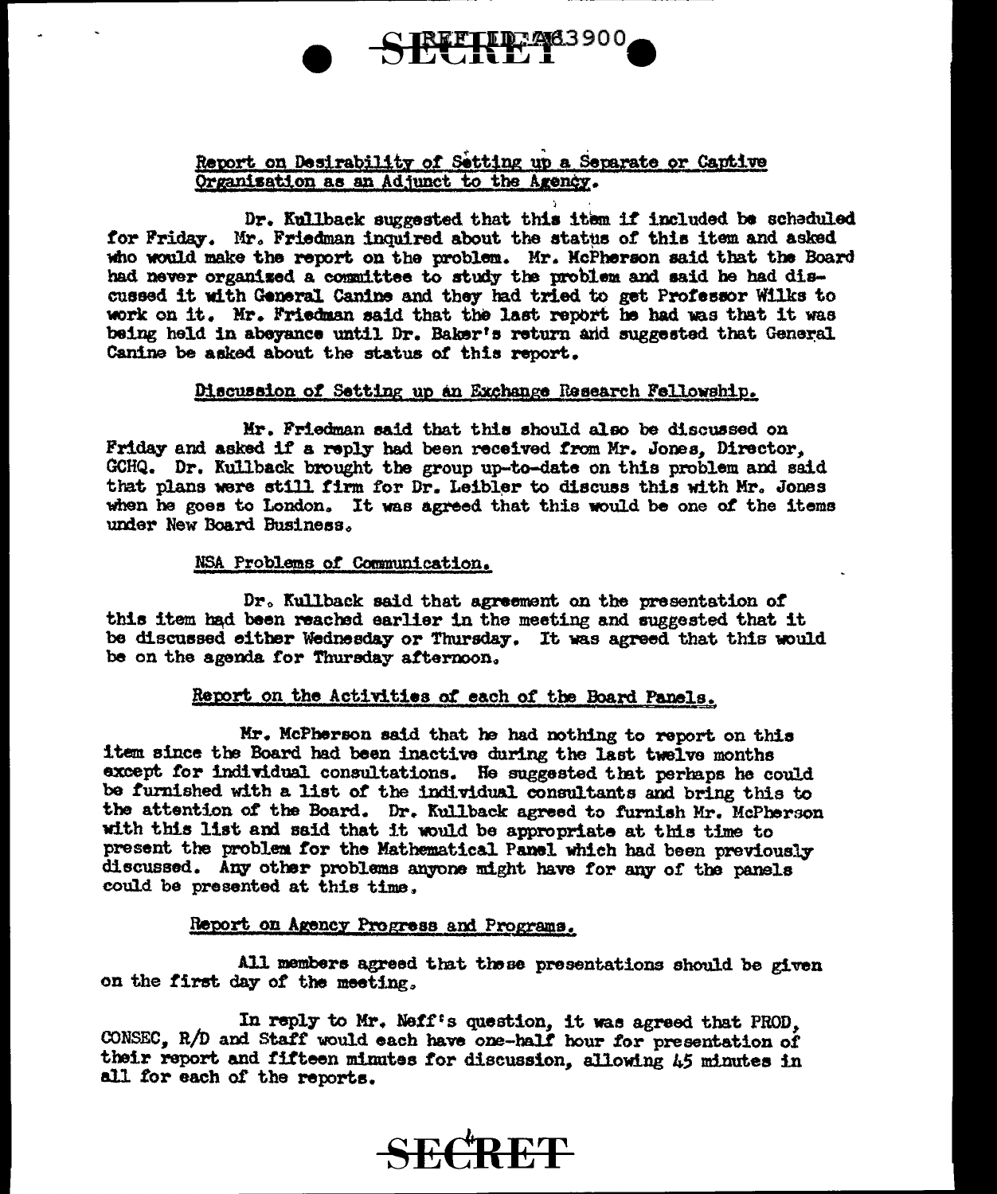## Report on Desirability of Setting up a Separate or Captive Organisation as an Adjunct to the Agency.

) . Dr. Kullback suggested that this item if included be scheduled for Friday. Mr. Friedman inquired about the status of this item and asked who would make the report on the problem. Mr. HcPherson said that the Board had never organised a committee to study the problem and said he had discussed it with General Canine and they had tried to get Professor Wilks to work on it. Mr. Friedman said that the last report he had was that it was being held in abeyance until Dr. Baker's return and suggested that General. Canine be asked about the status of this report.

#### Discussion of Setting up an Exchange Research Fellowship.

Mr. Friedman said that this should also be discussed on Friday and asked if a reply had been received from Mr. Jones, Director, GCHQ. Dr. Kullback brought the group up-to-date on this problem and said that plans were still firm for Dr. Leibler to discuss this with Mr. Jones when he goes to London. It was agreed that this would be one of the items under New Board Business.

### NSA Prob1ems or Communication.

Dr. Kullback said that agreement on the presentation of this item had been reached earlier in the meeting and suggested that it be discussed either Wednesday or Thursday. It was agreed that this would be on the agenda for Thursday afternoon.

## Report on the Activities of each of the Board Panels.

Mr. McPherson said that *m* had nothing to report on thia item since the Board had been inactive during the last twelve months except for individual consultations. He suggested that perhaps he could be furnished with a. list or the individual consultants and bring this to the attention of the Board. Dr. Kullback agreed to furnish Mr. McPherson with this list and said that it would be appropriate at this time to present the problem for the Mathematical Panel which had been previously discussed. Any other problems anyone might have for any of the panels could be presented at this time.

### Report on Agency Progress and Programs.

All members agreed that these presentations should be given on the tirst day= *ot* the meeting,,

In reply to Mr. Neff's question, it was agreed that PROD,  $CONSEC. R/D$  and Staff would each have one-half hour for presentation of their report and fifteen minutes for discussion, allowing 45 minutes in all tor each of the reports.

# **SECRET**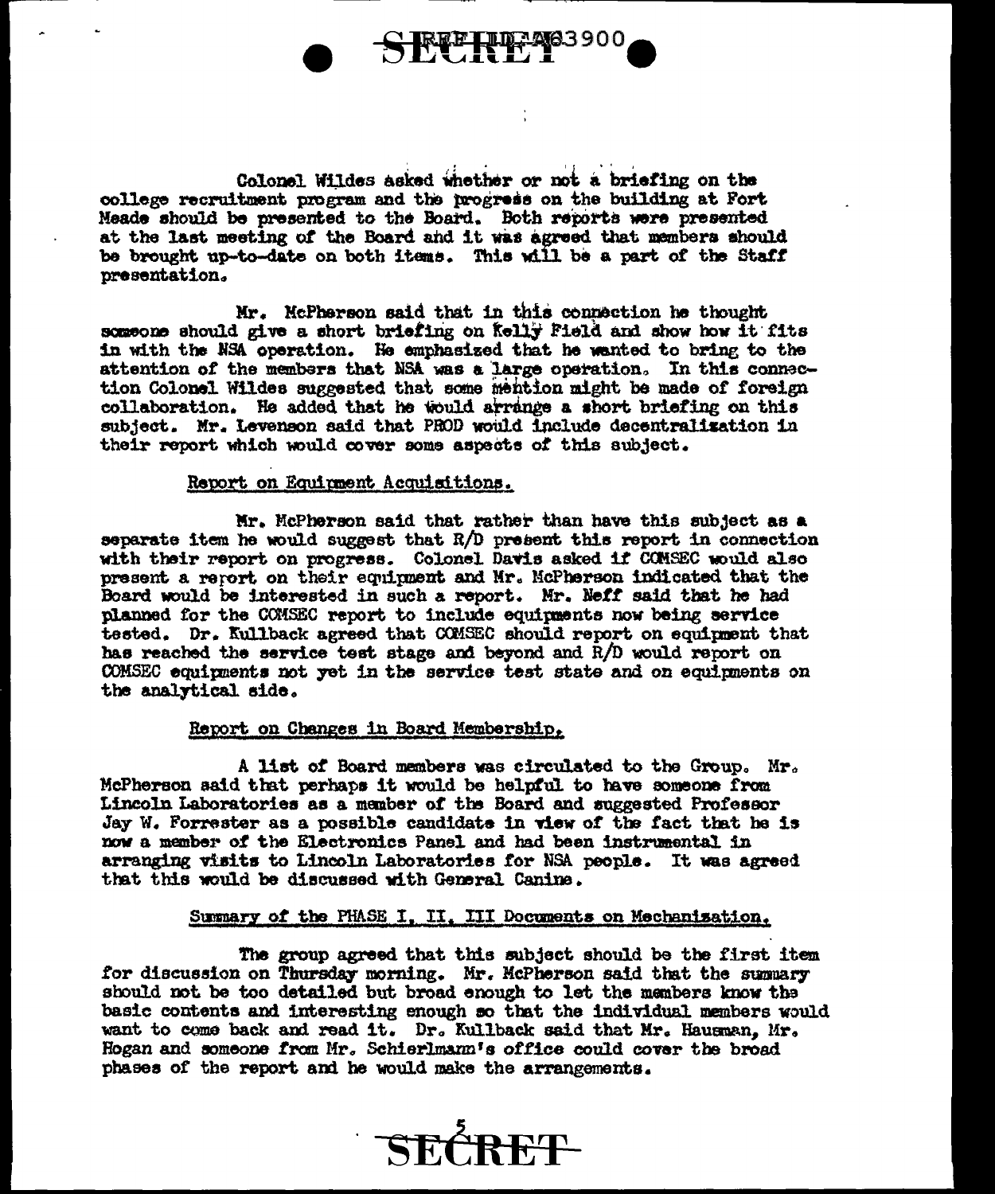

Colonel Wildes asked whether or not a briefing on the college recruitment program and the progress on the building at Fort Meade should be presented to the Board. Both reports were presented at the last meeting of the Board and it was agreed that members should be brought up-to-date on both items. This will be a part of the Staff presentation.

Mr. McPherson said that in this connection he thought someone should give a short briefing on Kelly Field and show how it fits in with the NSA operation. He emphasized that he wanted to bring to the attention of the members that NSA was a large operation. In this connection Colonel Wildes suggested that some mention might be made of foreign collaboration. He added that he would arrange a short briefing on this subject. Mr. Levenson said that PROD would include decentralization in their report which would cover some aspects of this subject.

#### Report on Equipment Acquisitions.

Mr. McPherson said that rather than have this subject as a separate item he would suggest that  $R/D$  present this report in connection with their report on progress. Colonel Davis asked if CONSEC would also present a report on their equipment and Mr. McPherson indicated that the Board would be interested in such a report. Mr. Neff said that he had planned for the COMSEC report to include equipments now being service tested. Dr. Kullback agreed that COMSEC should report on equipment that has reached the service test stage and beyond and R/D would report on COMSEC equipments not yet in the service test state and on equipments on the analytical side.

### Report on Changes in Board Membership.

A list of Board members was circulated to the Group. Mr. McPherson said that perhaps it would be helpful to have someone from Lincoln Laboratories as a member of the Board and suggested Professor Jay W. Forrester as a possible candidate in view of the fact that he is now a member of the Electronics Panel and had been instrumental in arranging visits to Lincoln Laboratories for NSA people. It was agreed that this would be discussed with General Canine.

#### Summary of the PHASE I. II. III Documents on Mechanisation.

The group agreed that this subject should be the first item for discussion on Thursday morning. Mr. McPherson said that the summary should not be too detailed but broad enough to let the members know the basic contents and interesting enough so that the individual members would want to come back and read it. Dr. Kullback said that Mr. Hausman, Mr. Hogan and someone from Mr. Schierlmann's office could cover the broad phases of the report and he would make the arrangements.